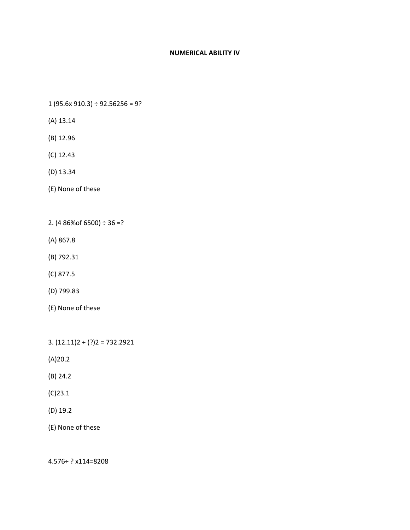## **NUMERICAL ABILITY IV**

1 (95.6x 910.3) ÷ 92.56256 = 9?

- (A) 13.14
- (B) 12.96
- (C) 12.43
- (D) 13.34
- (E) None of these
- 2. (4 86% of 6500)  $\div$  36 =?
- (A) 867.8
- (B) 792.31
- (C) 877.5
- (D) 799.83
- (E) None of these

3.  $(12.11)2 + (?)2 = 732.2921$ 

(A)20.2

- (B) 24.2
- (C)23.1
- (D) 19.2

(E) None of these

4.576÷ ? x114=8208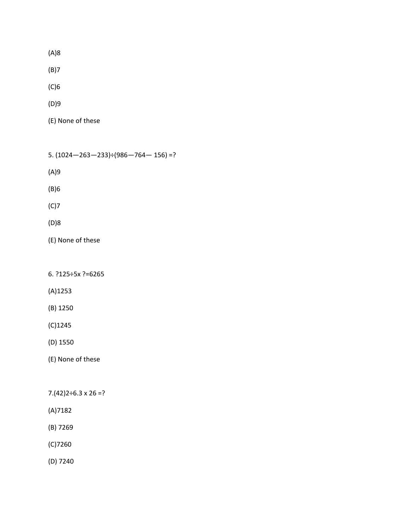(A)8

(B)7

(C)6

(D)9

(E) None of these

5.  $(1024 - 263 - 233) \div (986 - 764 - 156) = ?$ 

(A)9

(B)6

(C)7

(D)8

(E) None of these

6. ?125÷5x ?=6265

(A)1253

(B) 1250

(C)1245

(D) 1550

(E) None of these

 $7.(42)2 \div 6.3 \times 26 = ?$ 

(A)7182

(B) 7269

(C)7260

(D) 7240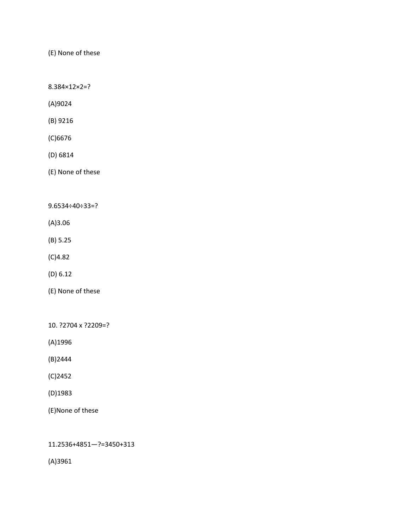(E) None of these

8.384×12×2=?

(A)9024

(B) 9216

(C)6676

(D) 6814

(E) None of these

9.6534÷40÷33=?

(A)3.06

(B) 5.25

(C)4.82

(D) 6.12

(E) None of these

10. ?2704 x ?2209=?

(A)1996

(B)2444

(C)2452

(D)1983

(E)None of these

11.2536+4851—?=3450+313

(A)3961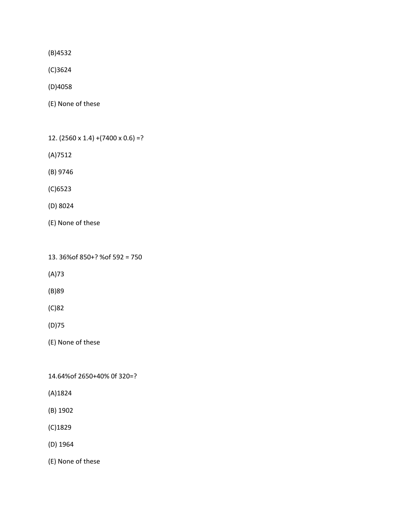(B)4532

(C)3624

(D)4058

(E) None of these

12.  $(2560 \times 1.4) + (7400 \times 0.6) = ?$ 

(A)7512

(B) 9746

(C)6523

(D) 8024

(E) None of these

13. 36%of 850+? %of 592 = 750

(A)73

(B)89

(C)82

(D)75

(E) None of these

14.64%of 2650+40% 0f 320=?

(A)1824

(B) 1902

(C)1829

(D) 1964

(E) None of these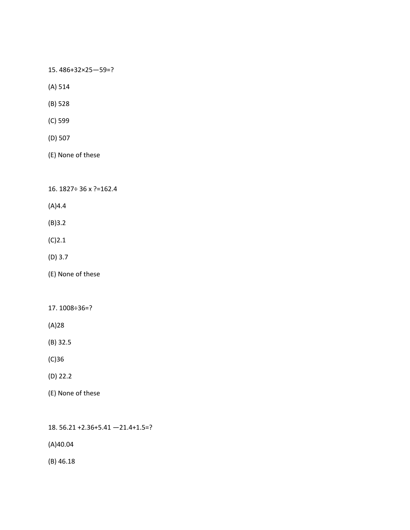15. 486+32×25—59=?

(A) 514

(B) 528

(C) 599

(D) 507

(E) None of these

16. 1827÷ 36 x ?=162.4

(A)4.4

(B)3.2

 $(C)2.1$ 

(D) 3.7

(E) None of these

17. 1008÷36=?

(A)28

(B) 32.5

(C)36

(D) 22.2

(E) None of these

18. 56.21 +2.36+5.41 —21.4+1.5=?

(A)40.04

(B) 46.18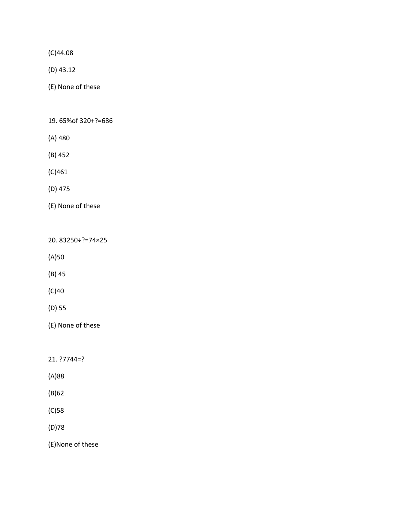(C)44.08

(D) 43.12

(E) None of these

19. 65%of 320+?=686

- (A) 480
- (B) 452

(C)461

(D) 475

(E) None of these

20. 83250÷?=74×25

(A)50

(B) 45

(C)40

(D) 55

(E) None of these

21. ?7744=?

(A)88

(B)62

(C)58

(D)78

(E)None of these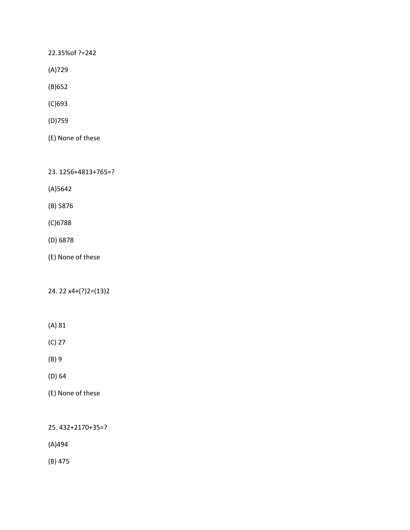22.35%of ?=242

(A)729

(B)652

(C)693

(D)759

(E) None of these

23. 1256+4813+765=?

(A)5642

(B) 5876

(C)6788

(D) 6878

(E) None of these

24. 22 x4+(?)2=(13)2

(A) 81

(C) 27

(B) 9

(D) 64

(E) None of these

25. 432+2170+35=?

(A)494

(B) 475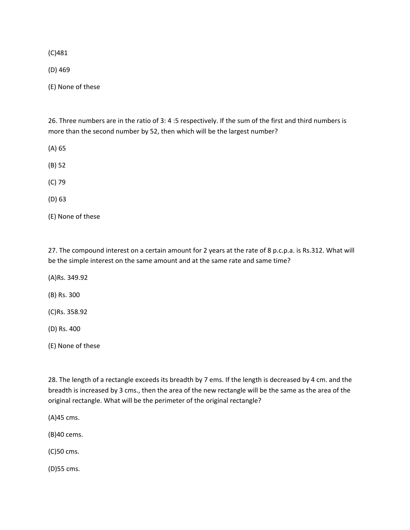(C)481

(D) 469

(E) None of these

26. Three numbers are in the ratio of 3: 4 :5 respectively. If the sum of the first and third numbers is more than the second number by 52, then which will be the largest number?

(A) 65

(B) 52

(C) 79

(D) 63

(E) None of these

27. The compound interest on a certain amount for 2 years at the rate of 8 p.c.p.a. is Rs.312. What will be the simple interest on the same amount and at the same rate and same time?

(A)Rs. 349.92

(B) Rs. 300

(C)Rs. 358.92

(D) Rs. 400

(E) None of these

28. The length of a rectangle exceeds its breadth by 7 ems. If the length is decreased by 4 cm. and the breadth is increased by 3 cms., then the area of the new rectangle will be the same as the area of the original rectangle. What will be the perimeter of the original rectangle?

(A)45 cms.

(B)40 cems.

(C)50 cms.

(D)55 cms.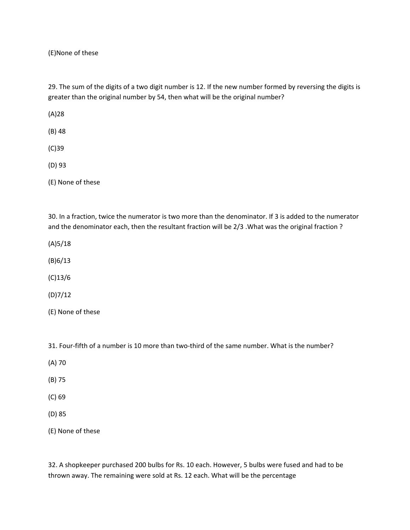(E)None of these

29. The sum of the digits of a two digit number is 12. If the new number formed by reversing the digits is greater than the original number by 54, then what will be the original number?

(A)28

(B) 48

(C)39

(D) 93

(E) None of these

30. In a fraction, twice the numerator is two more than the denominator. If 3 is added to the numerator and the denominator each, then the resultant fraction will be 2/3 .What was the original fraction ?

(A)5/18

(B)6/13

(C)13/6

(D)7/12

(E) None of these

31. Four-fifth of a number is 10 more than two-third of the same number. What is the number?

(A) 70

(B) 75

(C) 69

(D) 85

(E) None of these

32. A shopkeeper purchased 200 bulbs for Rs. 10 each. However, 5 bulbs were fused and had to be thrown away. The remaining were sold at Rs. 12 each. What will be the percentage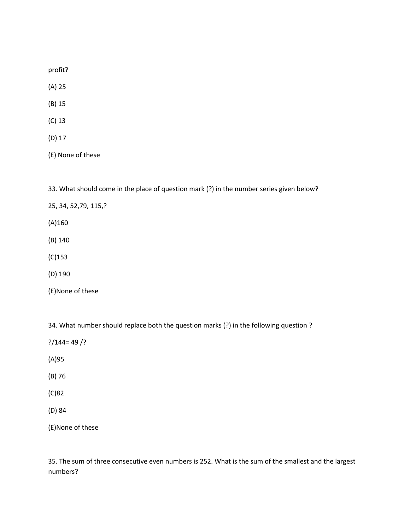profit?

- (A) 25
- (B) 15
- (C) 13
- (D) 17

(E) None of these

33. What should come in the place of question mark (?) in the number series given below?

25, 34, 52,79, 115,?

(A)160

(B) 140

(C)153

(D) 190

(E)None of these

34. What number should replace both the question marks (?) in the following question ?

- $?$ /144= 49 /?
- (A)95
- (B) 76
- (C)82
- (D) 84

(E)None of these

35. The sum of three consecutive even numbers is 252. What is the sum of the smallest and the largest numbers?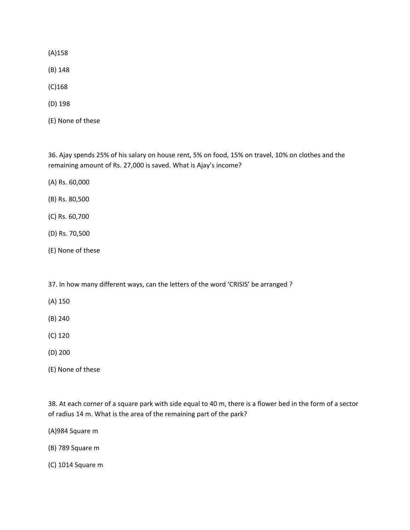(A)158

(B) 148

- (C)168
- (D) 198
- (E) None of these

36. Ajay spends 25% of his salary on house rent, 5% on food, 15% on travel, 10% on clothes and the remaining amount of Rs. 27,000 is saved. What is Ajay's income?

- (A) Rs. 60,000
- (B) Rs. 80,500
- (C) Rs. 60,700
- (D) Rs. 70,500
- (E) None of these
- 37. In how many different ways, can the letters of the word 'CRISIS' be arranged ?
- (A) 150
- (B) 240
- (C) 120
- (D) 200
- (E) None of these

38. At each corner of a square park with side equal to 40 m, there is a flower bed in the form of a sector of radius 14 m. What is the area of the remaining part of the park?

(A)984 Square m

(B) 789 Square m

(C) 1014 Square m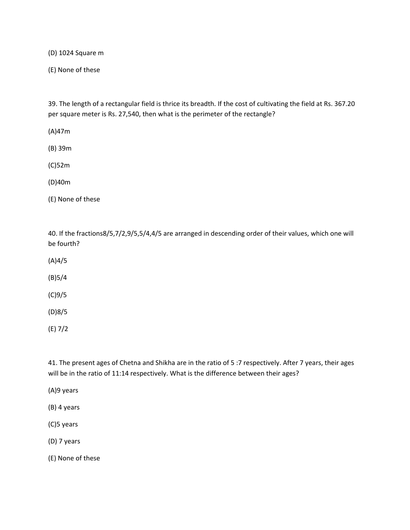(D) 1024 Square m

(E) None of these

39. The length of a rectangular field is thrice its breadth. If the cost of cultivating the field at Rs. 367.20 per square meter is Rs. 27,540, then what is the perimeter of the rectangle?

(A)47m

(B) 39m

(C)52m

(D)40m

(E) None of these

40. If the fractions8/5,7/2,9/5,5/4,4/5 are arranged in descending order of their values, which one will be fourth?

(A)4/5

(B)5/4

(C)9/5

(D)8/5

(E) 7/2

41. The present ages of Chetna and Shikha are in the ratio of 5 :7 respectively. After 7 years, their ages will be in the ratio of 11:14 respectively. What is the difference between their ages?

(A)9 years

(B) 4 years

(C)5 years

(D) 7 years

(E) None of these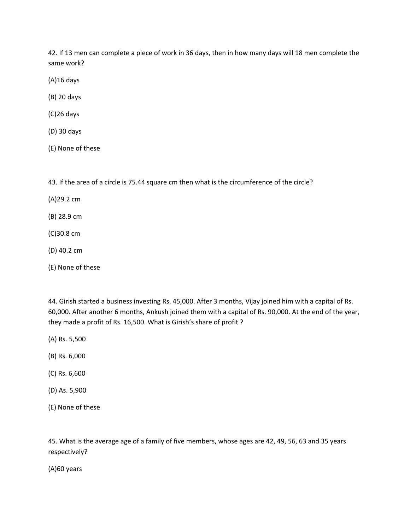42. If 13 men can complete a piece of work in 36 days, then in how many days will 18 men complete the same work?

(A)16 days

(B) 20 days

(C)26 days

(D) 30 days

(E) None of these

43. If the area of a circle is 75.44 square cm then what is the circumference of the circle?

(A)29.2 cm

(B) 28.9 cm

(C)30.8 cm

(D) 40.2 cm

(E) None of these

44. Girish started a business investing Rs. 45,000. After 3 months, Vijay joined him with a capital of Rs. 60,000. After another 6 months, Ankush joined them with a capital of Rs. 90,000. At the end of the year, they made a profit of Rs. 16,500. What is Girish's share of profit ?

(A) Rs. 5,500

(B) Rs. 6,000

- (C) Rs. 6,600
- (D) As. 5,900
- (E) None of these

45. What is the average age of a family of five members, whose ages are 42, 49, 56, 63 and 35 years respectively?

(A)60 years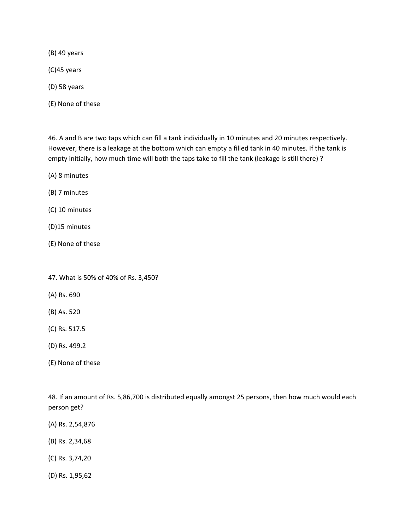(B) 49 years

(C)45 years

(D) 58 years

(E) None of these

46. A and B are two taps which can fill a tank individually in 10 minutes and 20 minutes respectively. However, there is a leakage at the bottom which can empty a filled tank in 40 minutes. If the tank is empty initially, how much time will both the taps take to fill the tank (leakage is still there) ?

(A) 8 minutes

(B) 7 minutes

(C) 10 minutes

(D)15 minutes

(E) None of these

47. What is 50% of 40% of Rs. 3,450?

(A) Rs. 690

(B) As. 520

(C) Rs. 517.5

(D) Rs. 499.2

(E) None of these

48. If an amount of Rs. 5,86,700 is distributed equally amongst 25 persons, then how much would each person get?

- (A) Rs. 2,54,876
- (B) Rs. 2,34,68
- (C) Rs. 3,74,20
- (D) Rs. 1,95,62